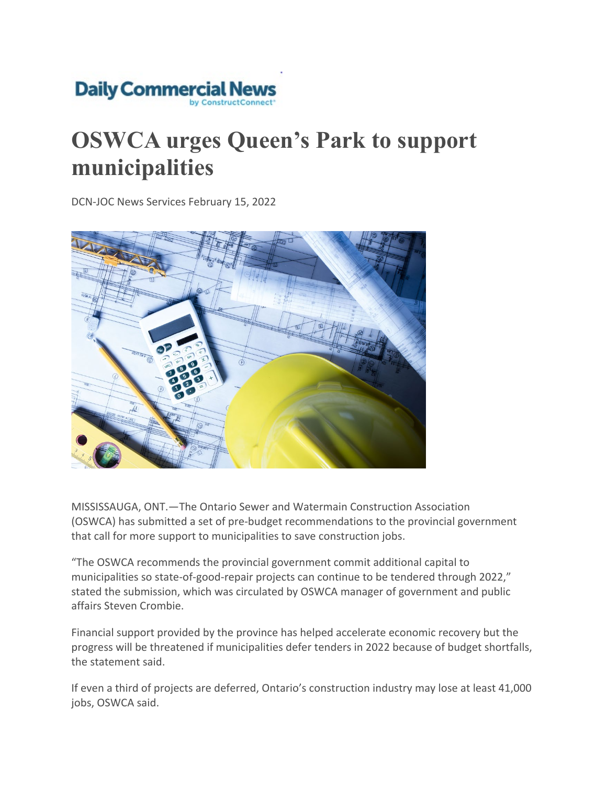

## **OSWCA urges Queen's Park to support municipalities**

DCN-JOC News Services February 15, 2022



MISSISSAUGA, ONT.—The Ontario Sewer and Watermain Construction Association (OSWCA) has submitted a set of pre-budget recommendations to the provincial government that call for more support to municipalities to save construction jobs.

"The OSWCA recommends the provincial government commit additional capital to municipalities so state-of-good-repair projects can continue to be tendered through 2022," stated the submission, which was circulated by OSWCA manager of government and public affairs Steven Crombie.

Financial support provided by the province has helped accelerate economic recovery but the progress will be threatened if municipalities defer tenders in 2022 because of budget shortfalls, the statement said.

If even a third of projects are deferred, Ontario's construction industry may lose at least 41,000 jobs, OSWCA said.